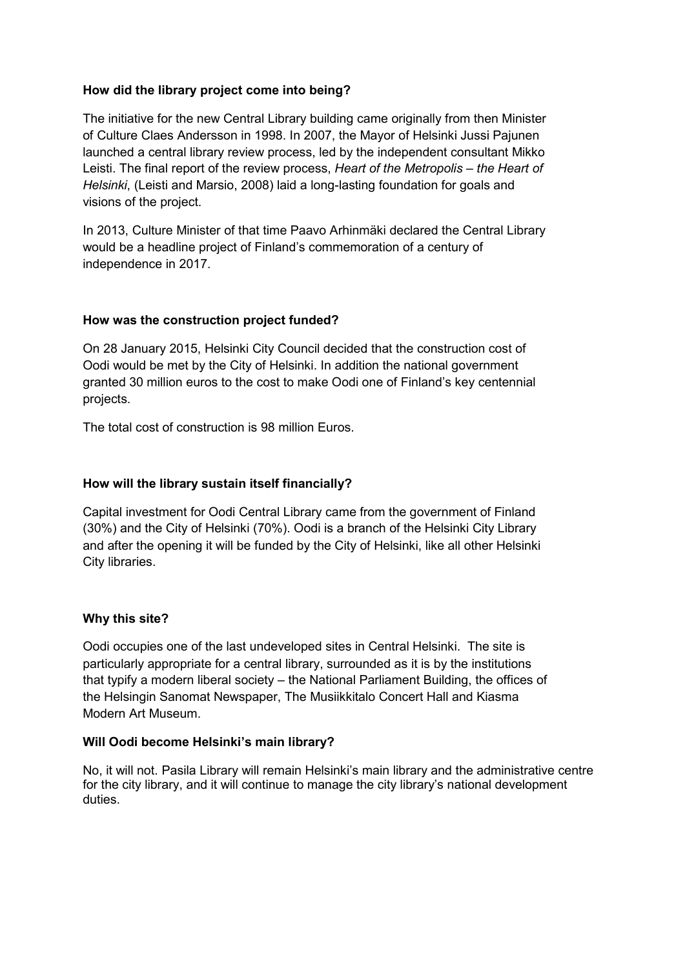# **How did the library project come into being?**

The initiative for the new Central Library building came originally from then Minister of Culture Claes Andersson in 1998. In 2007, the Mayor of Helsinki Jussi Pajunen launched a central library review process, led by the independent consultant Mikko Leisti. The final report of the review process, *Heart of the Metropolis – the Heart of Helsinki*, (Leisti and Marsio, 2008) laid a long-lasting foundation for goals and visions of the project.

In 2013, Culture Minister of that time Paavo Arhinmäki declared the Central Library would be a headline project of Finland's commemoration of a century of independence in 2017.

# **How was the construction project funded?**

On 28 January 2015, Helsinki City Council decided that the construction cost of Oodi would be met by the City of Helsinki. In addition the national government granted 30 million euros to the cost to make Oodi one of Finland's key centennial projects.

The total cost of construction is 98 million Euros.

## **How will the library sustain itself financially?**

Capital investment for Oodi Central Library came from the government of Finland (30%) and the City of Helsinki (70%). Oodi is a branch of the Helsinki City Library and after the opening it will be funded by the City of Helsinki, like all other Helsinki City libraries.

## **Why this site?**

Oodi occupies one of the last undeveloped sites in Central Helsinki. The site is particularly appropriate for a central library, surrounded as it is by the institutions that typify a modern liberal society – the National Parliament Building, the offices of the Helsingin Sanomat Newspaper, The Musiikkitalo Concert Hall and Kiasma Modern Art Museum.

## **Will Oodi become Helsinki's main library?**

No, it will not. Pasila Library will remain Helsinki's main library and the administrative centre for the city library, and it will continue to manage the city library's national development duties.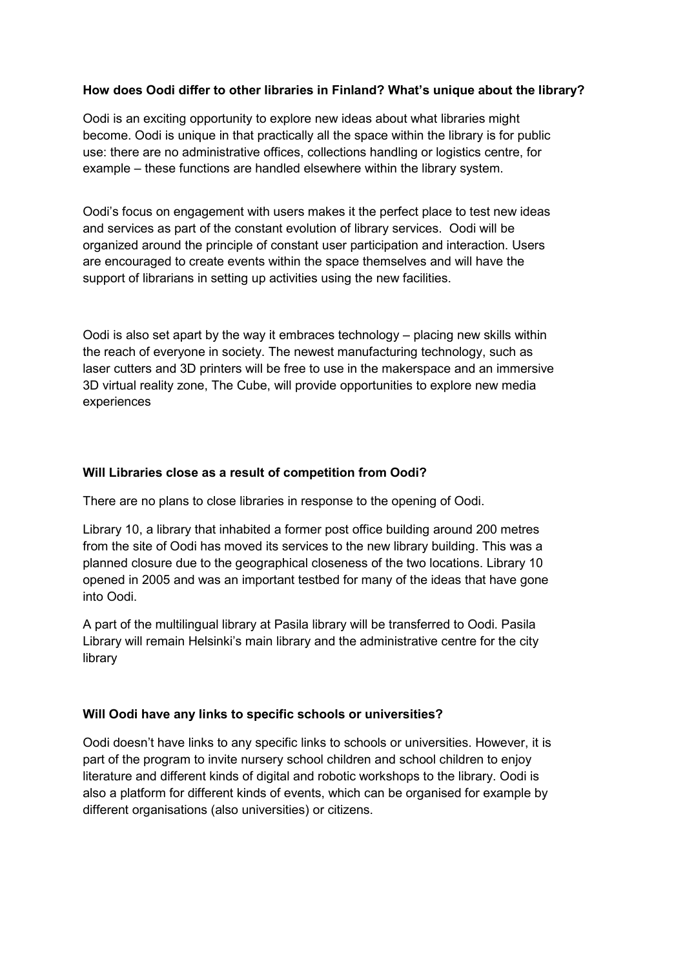# **How does Oodi differ to other libraries in Finland? What's unique about the library?**

Oodi is an exciting opportunity to explore new ideas about what libraries might become. Oodi is unique in that practically all the space within the library is for public use: there are no administrative offices, collections handling or logistics centre, for example – these functions are handled elsewhere within the library system.

Oodi's focus on engagement with users makes it the perfect place to test new ideas and services as part of the constant evolution of library services. Oodi will be organized around the principle of constant user participation and interaction. Users are encouraged to create events within the space themselves and will have the support of librarians in setting up activities using the new facilities.

Oodi is also set apart by the way it embraces technology – placing new skills within the reach of everyone in society. The newest manufacturing technology, such as laser cutters and 3D printers will be free to use in the makerspace and an immersive 3D virtual reality zone, The Cube, will provide opportunities to explore new media experiences

#### **Will Libraries close as a result of competition from Oodi?**

There are no plans to close libraries in response to the opening of Oodi.

Library 10, a library that inhabited a former post office building around 200 metres from the site of Oodi has moved its services to the new library building. This was a planned closure due to the geographical closeness of the two locations. Library 10 opened in 2005 and was an important testbed for many of the ideas that have gone into Oodi.

A part of the multilingual library at Pasila library will be transferred to Oodi. Pasila Library will remain Helsinki's main library and the administrative centre for the city library

## **Will Oodi have any links to specific schools or universities?**

Oodi doesn't have links to any specific links to schools or universities. However, it is part of the program to invite nursery school children and school children to enjoy literature and different kinds of digital and robotic workshops to the library. Oodi is also a platform for different kinds of events, which can be organised for example by different organisations (also universities) or citizens.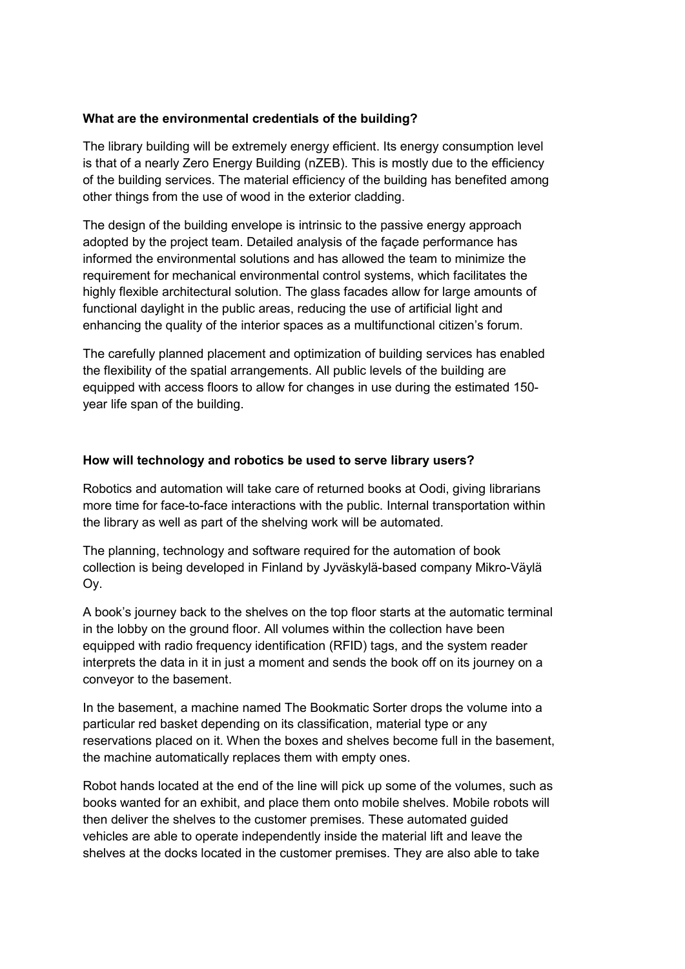## **What are the environmental credentials of the building?**

The library building will be extremely energy efficient. Its energy consumption level is that of a nearly Zero Energy Building (nZEB). This is mostly due to the efficiency of the building services. The material efficiency of the building has benefited among other things from the use of wood in the exterior cladding.

The design of the building envelope is intrinsic to the passive energy approach adopted by the project team. Detailed analysis of the façade performance has informed the environmental solutions and has allowed the team to minimize the requirement for mechanical environmental control systems, which facilitates the highly flexible architectural solution. The glass facades allow for large amounts of functional daylight in the public areas, reducing the use of artificial light and enhancing the quality of the interior spaces as a multifunctional citizen's forum.

The carefully planned placement and optimization of building services has enabled the flexibility of the spatial arrangements. All public levels of the building are equipped with access floors to allow for changes in use during the estimated 150 year life span of the building.

#### **How will technology and robotics be used to serve library users?**

Robotics and automation will take care of returned books at Oodi, giving librarians more time for face-to-face interactions with the public. Internal transportation within the library as well as part of the shelving work will be automated.

The planning, technology and software required for the automation of book collection is being developed in Finland by Jyväskylä-based company Mikro-Väylä Oy.

A book's journey back to the shelves on the top floor starts at the automatic terminal in the lobby on the ground floor. All volumes within the collection have been equipped with radio frequency identification (RFID) tags, and the system reader interprets the data in it in just a moment and sends the book off on its journey on a conveyor to the basement.

In the basement, a machine named The Bookmatic Sorter drops the volume into a particular red basket depending on its classification, material type or any reservations placed on it. When the boxes and shelves become full in the basement, the machine automatically replaces them with empty ones.

Robot hands located at the end of the line will pick up some of the volumes, such as books wanted for an exhibit, and place them onto mobile shelves. Mobile robots will then deliver the shelves to the customer premises. These automated guided vehicles are able to operate independently inside the material lift and leave the shelves at the docks located in the customer premises. They are also able to take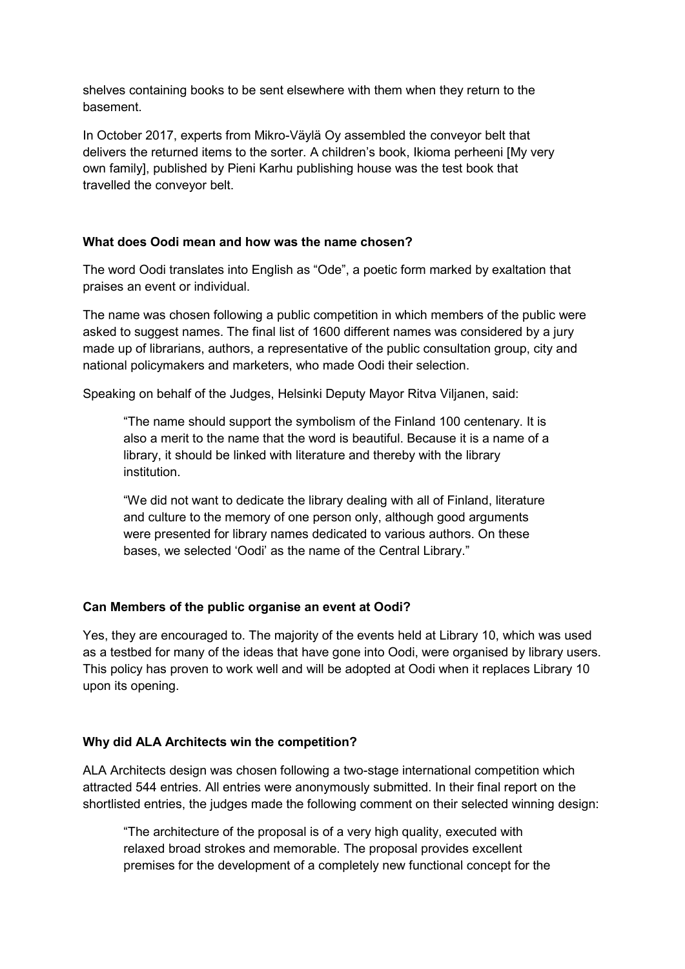shelves containing books to be sent elsewhere with them when they return to the basement.

In October 2017, experts from Mikro-Väylä Oy assembled the conveyor belt that delivers the returned items to the sorter. A children's book, Ikioma perheeni [My very own family], published by Pieni Karhu publishing house was the test book that travelled the conveyor belt.

# **What does Oodi mean and how was the name chosen?**

The word Oodi translates into English as "Ode", a poetic form marked by exaltation that praises an event or individual.

The name was chosen following a public competition in which members of the public were asked to suggest names. The final list of 1600 different names was considered by a jury made up of librarians, authors, a representative of the public consultation group, city and national policymakers and marketers, who made Oodi their selection.

Speaking on behalf of the Judges, Helsinki Deputy Mayor Ritva Viljanen, said:

"The name should support the symbolism of the Finland 100 centenary. It is also a merit to the name that the word is beautiful. Because it is a name of a library, it should be linked with literature and thereby with the library institution.

"We did not want to dedicate the library dealing with all of Finland, literature and culture to the memory of one person only, although good arguments were presented for library names dedicated to various authors. On these bases, we selected 'Oodi' as the name of the Central Library."

## **Can Members of the public organise an event at Oodi?**

Yes, they are encouraged to. The majority of the events held at Library 10, which was used as a testbed for many of the ideas that have gone into Oodi, were organised by library users. This policy has proven to work well and will be adopted at Oodi when it replaces Library 10 upon its opening.

## **Why did ALA Architects win the competition?**

ALA Architects design was chosen following a two-stage international competition which attracted 544 entries. All entries were anonymously submitted. In their final report on the shortlisted entries, the judges made the following comment on their selected winning design:

"The architecture of the proposal is of a very high quality, executed with relaxed broad strokes and memorable. The proposal provides excellent premises for the development of a completely new functional concept for the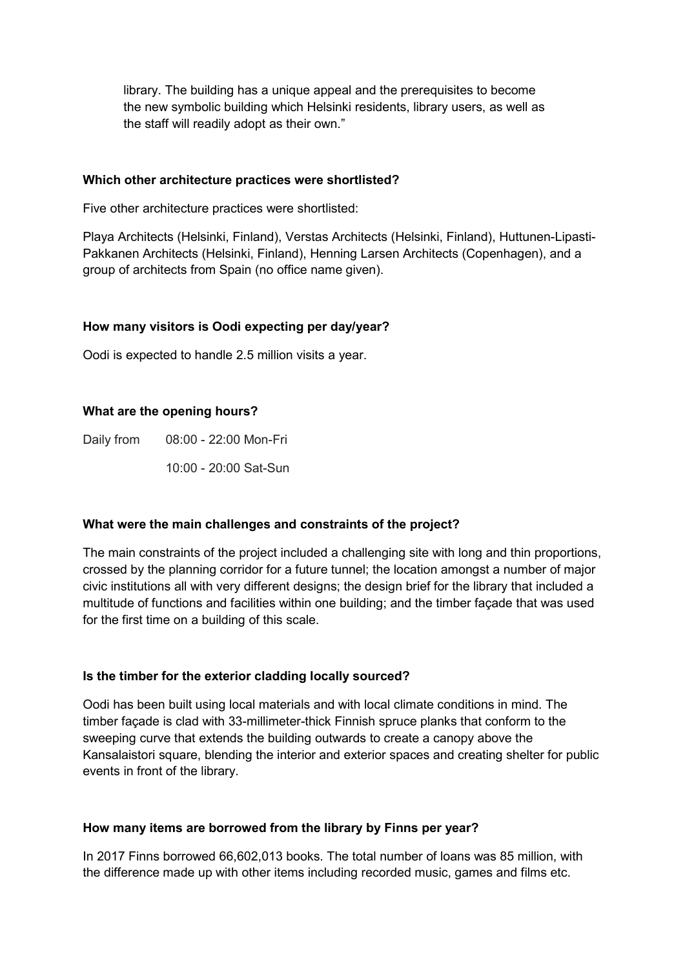library. The building has a unique appeal and the prerequisites to become the new symbolic building which Helsinki residents, library users, as well as the staff will readily adopt as their own."

#### **Which other architecture practices were shortlisted?**

Five other architecture practices were shortlisted:

Playa Architects (Helsinki, Finland), Verstas Architects (Helsinki, Finland), Huttunen-Lipasti-Pakkanen Architects (Helsinki, Finland), Henning Larsen Architects (Copenhagen), and a group of architects from Spain (no office name given).

## **How many visitors is Oodi expecting per day/year?**

Oodi is expected to handle 2.5 million visits a year.

## **What are the opening hours?**

Daily from 08:00 - 22:00 Mon-Fri

10:00 - 20:00 Sat-Sun

## **What were the main challenges and constraints of the project?**

The main constraints of the project included a challenging site with long and thin proportions, crossed by the planning corridor for a future tunnel; the location amongst a number of major civic institutions all with very different designs; the design brief for the library that included a multitude of functions and facilities within one building; and the timber façade that was used for the first time on a building of this scale.

## **Is the timber for the exterior cladding locally sourced?**

Oodi has been built using local materials and with local climate conditions in mind. The timber façade is clad with 33-millimeter-thick Finnish spruce planks that conform to the sweeping curve that extends the building outwards to create a canopy above the Kansalaistori square, blending the interior and exterior spaces and creating shelter for public events in front of the library.

#### **How many items are borrowed from the library by Finns per year?**

In 2017 Finns borrowed 66,602,013 books. The total number of loans was 85 million, with the difference made up with other items including recorded music, games and films etc.